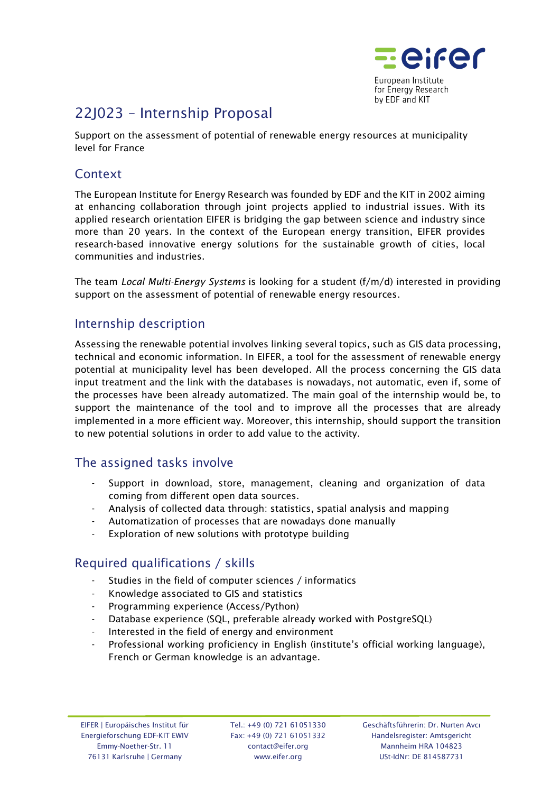

# 22J023 – Internship Proposal

Support on the assessment of potential of renewable energy resources at municipality level for France

## **Context**

The European Institute for Energy Research was founded by EDF and the KIT in 2002 aiming at enhancing collaboration through joint projects applied to industrial issues. With its applied research orientation EIFER is bridging the gap between science and industry since more than 20 years. In the context of the European energy transition, EIFER provides research-based innovative energy solutions for the sustainable growth of cities, local communities and industries.

The team *Local Multi-Energy Systems* is looking for a student (f/m/d) interested in providing support on the assessment of potential of renewable energy resources.

### Internship description

Assessing the renewable potential involves linking several topics, such as GIS data processing, technical and economic information. In EIFER, a tool for the assessment of renewable energy potential at municipality level has been developed. All the process concerning the GIS data input treatment and the link with the databases is nowadays, not automatic, even if, some of the processes have been already automatized. The main goal of the internship would be, to support the maintenance of the tool and to improve all the processes that are already implemented in a more efficient way. Moreover, this internship, should support the transition to new potential solutions in order to add value to the activity.

### The assigned tasks involve

- Support in download, store, management, cleaning and organization of data coming from different open data sources.
- Analysis of collected data through: statistics, spatial analysis and mapping
- Automatization of processes that are nowadays done manually
- Exploration of new solutions with prototype building

# Required qualifications / skills

- Studies in the field of computer sciences / informatics
- Knowledge associated to GIS and statistics
- Programming experience (Access/Python)
- Database experience (SQL, preferable already worked with PostgreSQL)
- Interested in the field of energy and environment
- Professional working proficiency in English (institute's official working language), French or German knowledge is an advantage.

Tel.: +49 (0) 721 61051330 Fax: +49 (0) 721 61051332 contact@eifer.org www.eifer.org